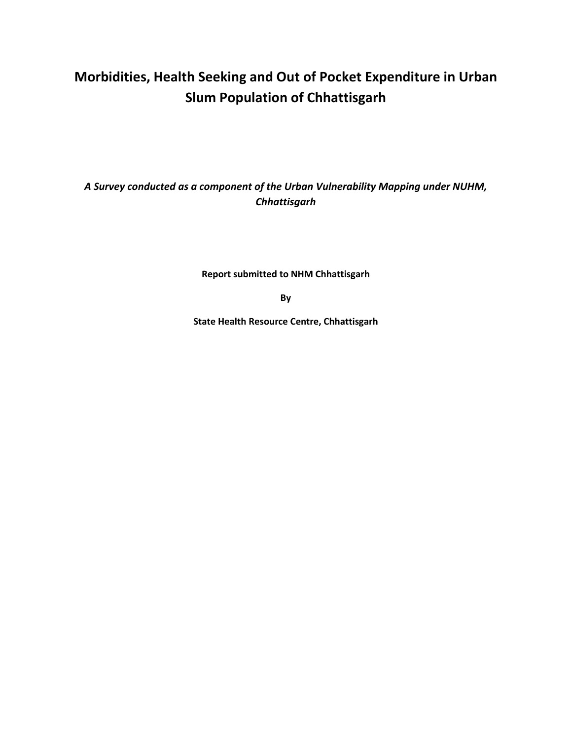# **Morbidities, Health Seeking and Out of Pocket Expenditure in Urban Slum Population of Chhattisgarh**

*A Survey conducted as a component of the Urban Vulnerability Mapping under NUHM, Chhattisgarh*

**Report submitted to NHM Chhattisgarh**

**By**

**State Health Resource Centre, Chhattisgarh**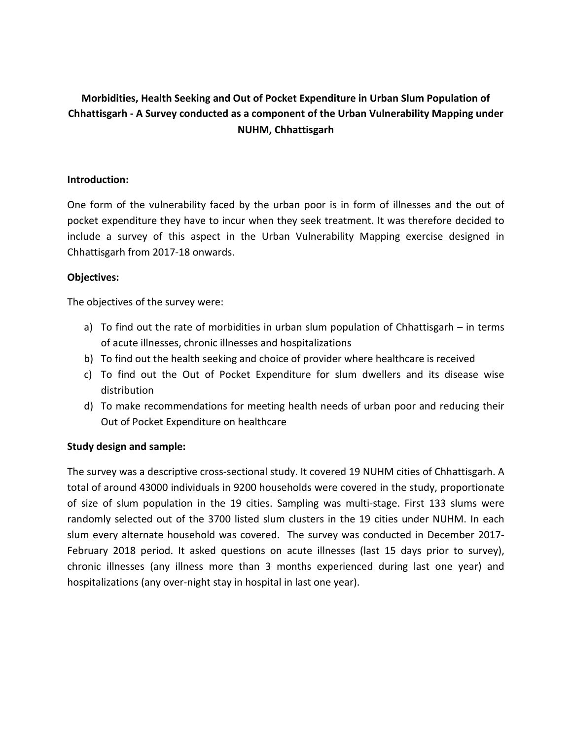# **Morbidities, Health Seeking and Out of Pocket Expenditure in Urban Slum Population of Chhattisgarh - A Survey conducted as a component of the Urban Vulnerability Mapping under NUHM, Chhattisgarh**

### **Introduction:**

One form of the vulnerability faced by the urban poor is in form of illnesses and the out of pocket expenditure they have to incur when they seek treatment. It was therefore decided to include a survey of this aspect in the Urban Vulnerability Mapping exercise designed in Chhattisgarh from 2017-18 onwards.

### **Objectives:**

The objectives of the survey were:

- a) To find out the rate of morbidities in urban slum population of Chhattisgarh in terms of acute illnesses, chronic illnesses and hospitalizations
- b) To find out the health seeking and choice of provider where healthcare is received
- c) To find out the Out of Pocket Expenditure for slum dwellers and its disease wise distribution
- d) To make recommendations for meeting health needs of urban poor and reducing their Out of Pocket Expenditure on healthcare

#### **Study design and sample:**

The survey was a descriptive cross-sectional study. It covered 19 NUHM cities of Chhattisgarh. A total of around 43000 individuals in 9200 households were covered in the study, proportionate of size of slum population in the 19 cities. Sampling was multi-stage. First 133 slums were randomly selected out of the 3700 listed slum clusters in the 19 cities under NUHM. In each slum every alternate household was covered. The survey was conducted in December 2017- February 2018 period. It asked questions on acute illnesses (last 15 days prior to survey), chronic illnesses (any illness more than 3 months experienced during last one year) and hospitalizations (any over-night stay in hospital in last one year).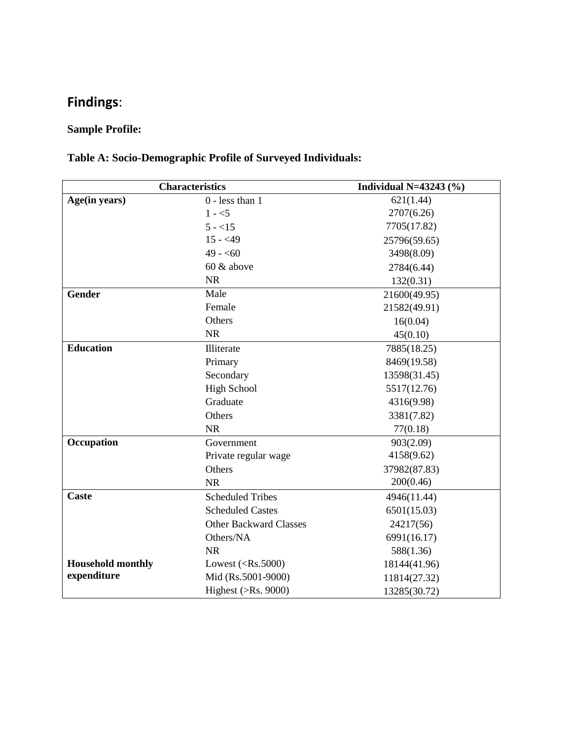# **Findings**:

# **Sample Profile:**

# **Table A: Socio-Demographic Profile of Surveyed Individuals:**

| <b>Characteristics</b>   |                               | Individual N=43243 $(\%)$ |
|--------------------------|-------------------------------|---------------------------|
| Age(in years)            | $0$ - less than 1             | 621(1.44)                 |
|                          | $1 - 5$                       | 2707(6.26)                |
|                          | $5 - 15$                      | 7705(17.82)               |
|                          | $15 - 49$                     | 25796(59.65)              |
|                          | $49 - 60$                     | 3498(8.09)                |
|                          | 60 & above                    | 2784(6.44)                |
|                          | <b>NR</b>                     | 132(0.31)                 |
| <b>Gender</b>            | Male                          | 21600(49.95)              |
|                          | Female                        | 21582(49.91)              |
|                          | Others                        | 16(0.04)                  |
|                          | <b>NR</b>                     | 45(0.10)                  |
| <b>Education</b>         | Illiterate                    | 7885(18.25)               |
|                          | Primary                       | 8469(19.58)               |
|                          | Secondary                     | 13598(31.45)              |
|                          | <b>High School</b>            | 5517(12.76)               |
|                          | Graduate                      | 4316(9.98)                |
|                          | Others                        | 3381(7.82)                |
|                          | <b>NR</b>                     | 77(0.18)                  |
| Occupation               | Government                    | 903(2.09)                 |
|                          | Private regular wage          | 4158(9.62)                |
|                          | Others                        | 37982(87.83)              |
|                          | <b>NR</b>                     | 200(0.46)                 |
| <b>Caste</b>             | <b>Scheduled Tribes</b>       | 4946(11.44)               |
|                          | <b>Scheduled Castes</b>       | 6501(15.03)               |
|                          | <b>Other Backward Classes</b> | 24217(56)                 |
|                          | Others/NA                     | 6991(16.17)               |
|                          | <b>NR</b>                     | 588(1.36)                 |
| <b>Household monthly</b> | Lowest $(<\!\!Rs.5000$ )      | 18144(41.96)              |
| expenditure              | Mid (Rs.5001-9000)            | 11814(27.32)              |
|                          | Highest ( $>Rs. 9000$ )       | 13285(30.72)              |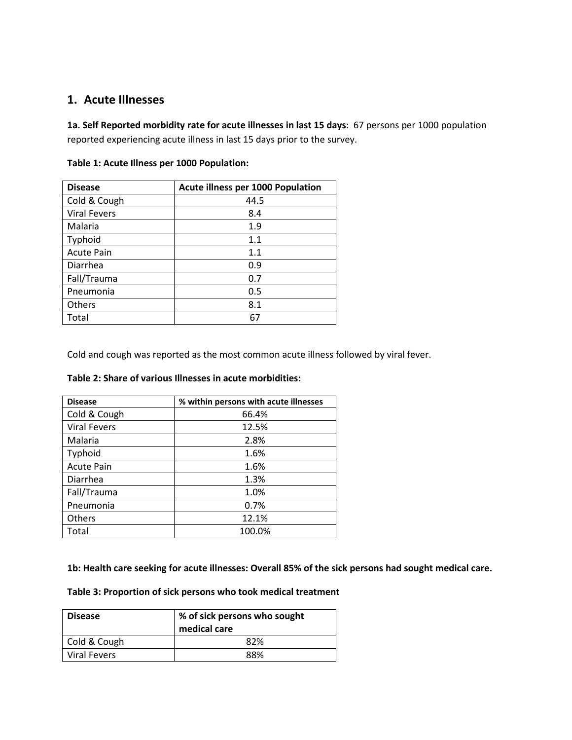## **1. Acute Illnesses**

**1a. Self Reported morbidity rate for acute illnesses in last 15 days**: 67 persons per 1000 population reported experiencing acute illness in last 15 days prior to the survey.

| <b>Disease</b>      | <b>Acute illness per 1000 Population</b> |
|---------------------|------------------------------------------|
| Cold & Cough        | 44.5                                     |
| <b>Viral Fevers</b> | 8.4                                      |
| Malaria             | 1.9                                      |
| Typhoid             | 1.1                                      |
| <b>Acute Pain</b>   | 1.1                                      |
| Diarrhea            | 0.9                                      |
| Fall/Trauma         | 0.7                                      |
| Pneumonia           | 0.5                                      |
| Others              | 8.1                                      |
| Total               | 67                                       |

| Table 1: Acute Illness per 1000 Population: |
|---------------------------------------------|
|                                             |

Cold and cough was reported as the most common acute illness followed by viral fever.

| <b>Disease</b>      | % within persons with acute illnesses |
|---------------------|---------------------------------------|
| Cold & Cough        | 66.4%                                 |
| <b>Viral Fevers</b> | 12.5%                                 |
| Malaria             | 2.8%                                  |
| Typhoid             | 1.6%                                  |
| <b>Acute Pain</b>   | 1.6%                                  |
| Diarrhea            | 1.3%                                  |
| Fall/Trauma         | 1.0%                                  |
| Pneumonia           | 0.7%                                  |
| Others              | 12.1%                                 |
| Total               | 100.0%                                |

#### **Table 2: Share of various Illnesses in acute morbidities:**

**1b: Health care seeking for acute illnesses: Overall 85% of the sick persons had sought medical care.** 

#### **Table 3: Proportion of sick persons who took medical treatment**

| <b>Disease</b>      | % of sick persons who sought<br>medical care |
|---------------------|----------------------------------------------|
| Cold & Cough        | 82%                                          |
| <b>Viral Fevers</b> | 88%                                          |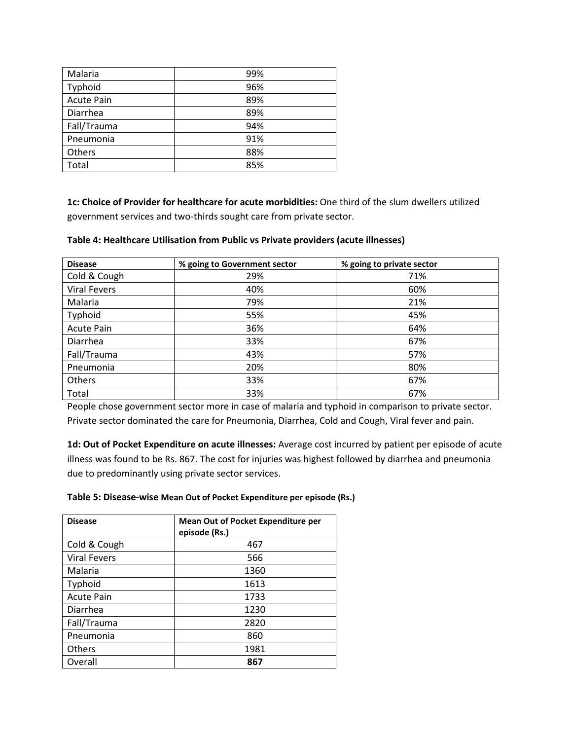| Malaria           | 99% |
|-------------------|-----|
| Typhoid           | 96% |
| <b>Acute Pain</b> | 89% |
| Diarrhea          | 89% |
| Fall/Trauma       | 94% |
| Pneumonia         | 91% |
| Others            | 88% |
| Total             | 85% |

**1c: Choice of Provider for healthcare for acute morbidities:** One third of the slum dwellers utilized government services and two-thirds sought care from private sector.

| <b>Disease</b>      | % going to Government sector | % going to private sector |
|---------------------|------------------------------|---------------------------|
| Cold & Cough        | 29%                          | 71%                       |
| <b>Viral Fevers</b> | 40%                          | 60%                       |
| Malaria             | 79%                          | 21%                       |
| Typhoid             | 55%                          | 45%                       |
| <b>Acute Pain</b>   | 36%                          | 64%                       |
| Diarrhea            | 33%                          | 67%                       |
| Fall/Trauma         | 43%                          | 57%                       |
| Pneumonia           | 20%                          | 80%                       |
| Others              | 33%                          | 67%                       |
| Total               | 33%                          | 67%                       |

#### **Table 4: Healthcare Utilisation from Public vs Private providers (acute illnesses)**

People chose government sector more in case of malaria and typhoid in comparison to private sector. Private sector dominated the care for Pneumonia, Diarrhea, Cold and Cough, Viral fever and pain.

**1d: Out of Pocket Expenditure on acute illnesses:** Average cost incurred by patient per episode of acute illness was found to be Rs. 867. The cost for injuries was highest followed by diarrhea and pneumonia due to predominantly using private sector services.

| Table 5: Disease-wise Mean Out of Pocket Expenditure per episode (Rs.) |
|------------------------------------------------------------------------|
|------------------------------------------------------------------------|

| <b>Disease</b>      | <b>Mean Out of Pocket Expenditure per</b><br>episode (Rs.) |
|---------------------|------------------------------------------------------------|
| Cold & Cough        | 467                                                        |
| <b>Viral Fevers</b> | 566                                                        |
| Malaria             | 1360                                                       |
| Typhoid             | 1613                                                       |
| <b>Acute Pain</b>   | 1733                                                       |
| Diarrhea            | 1230                                                       |
| Fall/Trauma         | 2820                                                       |
| Pneumonia           | 860                                                        |
| Others              | 1981                                                       |
| Overall             | 867                                                        |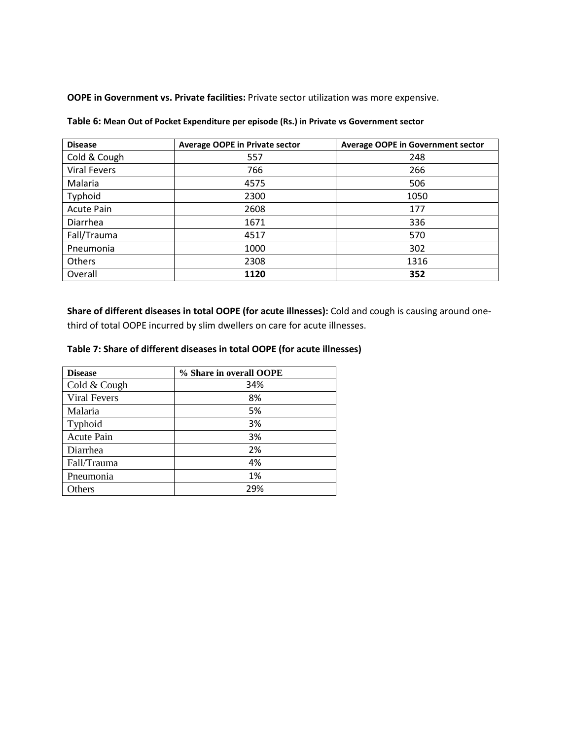**OOPE in Government vs. Private facilities:** Private sector utilization was more expensive.

| <b>Disease</b>      | <b>Average OOPE in Private sector</b> | <b>Average OOPE in Government sector</b> |
|---------------------|---------------------------------------|------------------------------------------|
| Cold & Cough        | 557                                   | 248                                      |
| <b>Viral Fevers</b> | 766                                   | 266                                      |
| Malaria             | 4575                                  | 506                                      |
| Typhoid             | 2300                                  | 1050                                     |
| <b>Acute Pain</b>   | 2608                                  | 177                                      |
| Diarrhea            | 1671                                  | 336                                      |
| Fall/Trauma         | 4517                                  | 570                                      |
| Pneumonia           | 1000                                  | 302                                      |
| Others              | 2308                                  | 1316                                     |
| Overall             | 1120                                  | 352                                      |

**Table 6: Mean Out of Pocket Expenditure per episode (Rs.) in Private vs Government sector** 

**Share of different diseases in total OOPE (for acute illnesses):** Cold and cough is causing around onethird of total OOPE incurred by slim dwellers on care for acute illnesses.

#### **Table 7: Share of different diseases in total OOPE (for acute illnesses)**

| <b>Disease</b>      | % Share in overall OOPE |
|---------------------|-------------------------|
| Cold & Cough        | 34%                     |
| <b>Viral Fevers</b> | 8%                      |
| Malaria             | 5%                      |
| Typhoid             | 3%                      |
| Acute Pain          | 3%                      |
| Diarrhea            | 2%                      |
| Fall/Trauma         | 4%                      |
| Pneumonia           | 1%                      |
| Others              | 29%                     |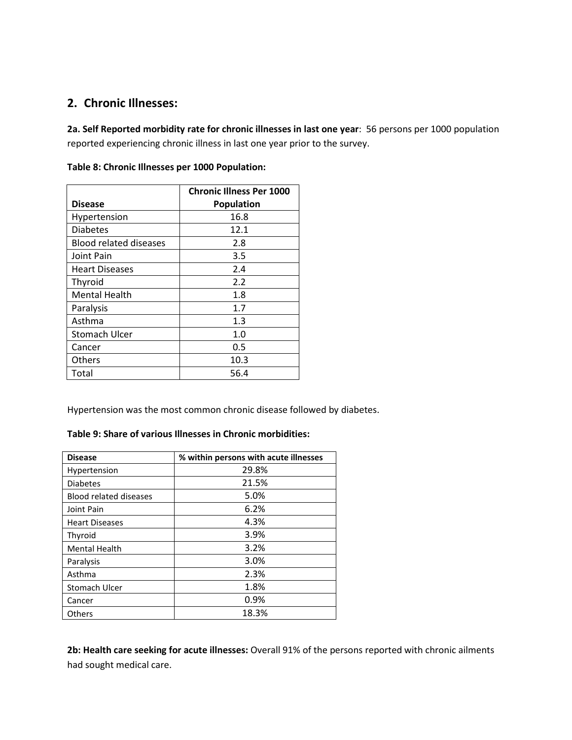## **2. Chronic Illnesses:**

**2a. Self Reported morbidity rate for chronic illnesses in last one year**: 56 persons per 1000 population reported experiencing chronic illness in last one year prior to the survey.

|                               | <b>Chronic Illness Per 1000</b> |
|-------------------------------|---------------------------------|
| <b>Disease</b>                | <b>Population</b>               |
| Hypertension                  | 16.8                            |
| <b>Diabetes</b>               | 12.1                            |
| <b>Blood related diseases</b> | 2.8                             |
| Joint Pain                    | 3.5                             |
| <b>Heart Diseases</b>         | 2.4                             |
| Thyroid                       | 2.2                             |
| <b>Mental Health</b>          | 1.8                             |
| Paralysis                     | 1.7                             |
| Asthma                        | 1.3                             |
| <b>Stomach Ulcer</b>          | 1.0                             |
| Cancer                        | 0.5                             |
| <b>Others</b>                 | 10.3                            |
| Total                         | 56.4                            |

**Table 8: Chronic Illnesses per 1000 Population:**

Hypertension was the most common chronic disease followed by diabetes.

#### **Table 9: Share of various Illnesses in Chronic morbidities:**

| <b>Disease</b>                | % within persons with acute illnesses |  |  |  |
|-------------------------------|---------------------------------------|--|--|--|
| Hypertension                  | 29.8%                                 |  |  |  |
| <b>Diabetes</b>               | 21.5%                                 |  |  |  |
| <b>Blood related diseases</b> | 5.0%                                  |  |  |  |
| Joint Pain                    | 6.2%                                  |  |  |  |
| <b>Heart Diseases</b>         | 4.3%                                  |  |  |  |
| Thyroid                       | 3.9%                                  |  |  |  |
| <b>Mental Health</b>          | 3.2%                                  |  |  |  |
| Paralysis                     | 3.0%                                  |  |  |  |
| Asthma                        | 2.3%                                  |  |  |  |
| Stomach Ulcer                 | 1.8%                                  |  |  |  |
| Cancer                        | 0.9%                                  |  |  |  |
| Others                        | 18.3%                                 |  |  |  |

**2b: Health care seeking for acute illnesses:** Overall 91% of the persons reported with chronic ailments had sought medical care.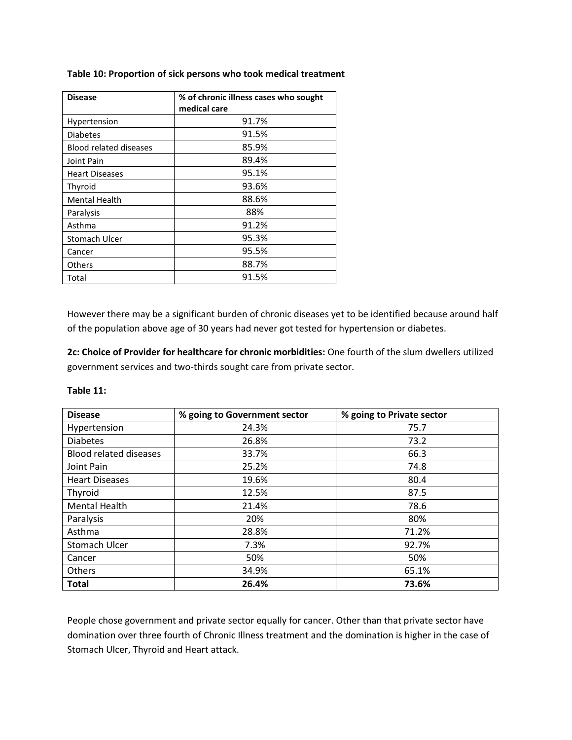| <b>Disease</b>                | % of chronic illness cases who sought |  |  |
|-------------------------------|---------------------------------------|--|--|
|                               | medical care                          |  |  |
| Hypertension                  | 91.7%                                 |  |  |
| <b>Diabetes</b>               | 91.5%                                 |  |  |
| <b>Blood related diseases</b> | 85.9%                                 |  |  |
| Joint Pain                    | 89.4%                                 |  |  |
| <b>Heart Diseases</b>         | 95.1%                                 |  |  |
| Thyroid                       | 93.6%                                 |  |  |
| <b>Mental Health</b>          | 88.6%                                 |  |  |
| Paralysis                     | 88%                                   |  |  |
| Asthma                        | 91.2%                                 |  |  |
| Stomach Ulcer                 | 95.3%                                 |  |  |
| Cancer                        | 95.5%                                 |  |  |
| Others                        | 88.7%                                 |  |  |
| Total                         | 91.5%                                 |  |  |

#### **Table 10: Proportion of sick persons who took medical treatment**

However there may be a significant burden of chronic diseases yet to be identified because around half of the population above age of 30 years had never got tested for hypertension or diabetes.

**2c: Choice of Provider for healthcare for chronic morbidities:** One fourth of the slum dwellers utilized government services and two-thirds sought care from private sector.

| <b>Disease</b>                | % going to Government sector | % going to Private sector |
|-------------------------------|------------------------------|---------------------------|
| Hypertension                  | 24.3%                        | 75.7                      |
| <b>Diabetes</b>               | 26.8%                        | 73.2                      |
| <b>Blood related diseases</b> | 33.7%                        | 66.3                      |
| Joint Pain                    | 25.2%                        | 74.8                      |
| <b>Heart Diseases</b>         | 19.6%                        | 80.4                      |
| Thyroid                       | 12.5%                        | 87.5                      |
| <b>Mental Health</b>          | 21.4%                        | 78.6                      |
| Paralysis                     | 20%                          | 80%                       |
| Asthma                        | 28.8%                        | 71.2%                     |
| Stomach Ulcer                 | 7.3%                         | 92.7%                     |
| Cancer                        | 50%                          | 50%                       |
| Others                        | 34.9%                        | 65.1%                     |
| <b>Total</b>                  | 26.4%                        | 73.6%                     |

#### **Table 11:**

People chose government and private sector equally for cancer. Other than that private sector have domination over three fourth of Chronic Illness treatment and the domination is higher in the case of Stomach Ulcer, Thyroid and Heart attack.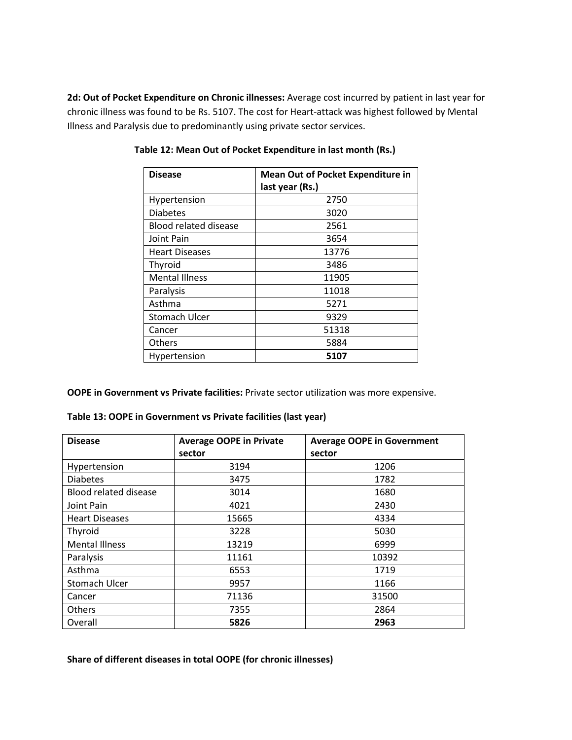**2d: Out of Pocket Expenditure on Chronic illnesses:** Average cost incurred by patient in last year for chronic illness was found to be Rs. 5107. The cost for Heart-attack was highest followed by Mental Illness and Paralysis due to predominantly using private sector services.

| <b>Disease</b>               | <b>Mean Out of Pocket Expenditure in</b><br>last year (Rs.) |
|------------------------------|-------------------------------------------------------------|
| Hypertension                 | 2750                                                        |
| <b>Diabetes</b>              | 3020                                                        |
| <b>Blood related disease</b> | 2561                                                        |
| Joint Pain                   | 3654                                                        |
| <b>Heart Diseases</b>        | 13776                                                       |
| Thyroid                      | 3486                                                        |
| <b>Mental Illness</b>        | 11905                                                       |
| Paralysis                    | 11018                                                       |
| Asthma                       | 5271                                                        |
| <b>Stomach Ulcer</b>         | 9329                                                        |
| Cancer                       | 51318                                                       |
| Others                       | 5884                                                        |
| Hypertension                 | 5107                                                        |

**Table 12: Mean Out of Pocket Expenditure in last month (Rs.)** 

**OOPE in Government vs Private facilities:** Private sector utilization was more expensive.

| Table 13: OOPE in Government vs Private facilities (last year) |  |  |
|----------------------------------------------------------------|--|--|
|----------------------------------------------------------------|--|--|

| <b>Disease</b>               | <b>Average OOPE in Private</b> | <b>Average OOPE in Government</b> |  |
|------------------------------|--------------------------------|-----------------------------------|--|
|                              | sector                         | sector                            |  |
| Hypertension                 | 3194                           | 1206                              |  |
| <b>Diabetes</b>              | 3475                           | 1782                              |  |
| <b>Blood related disease</b> | 3014                           | 1680                              |  |
| Joint Pain                   | 4021                           | 2430                              |  |
| <b>Heart Diseases</b>        | 15665                          | 4334                              |  |
| Thyroid                      | 3228                           | 5030                              |  |
| <b>Mental Illness</b>        | 13219                          | 6999                              |  |
| Paralysis                    | 11161                          | 10392                             |  |
| Asthma                       | 6553                           | 1719                              |  |
| Stomach Ulcer                | 9957                           | 1166                              |  |
| Cancer                       | 71136                          | 31500                             |  |
| <b>Others</b>                | 7355                           | 2864                              |  |
| Overall                      | 5826                           | 2963                              |  |

**Share of different diseases in total OOPE (for chronic illnesses)**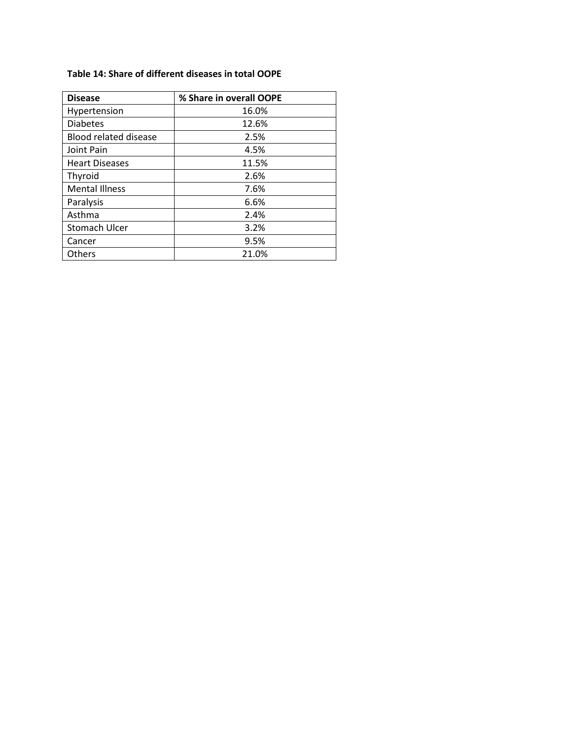#### **Table 14: Share of different diseases in total OOPE**

| <b>Disease</b>               | % Share in overall OOPE |
|------------------------------|-------------------------|
| Hypertension                 | 16.0%                   |
| <b>Diabetes</b>              | 12.6%                   |
| <b>Blood related disease</b> | 2.5%                    |
| Joint Pain                   | 4.5%                    |
| <b>Heart Diseases</b>        | 11.5%                   |
| Thyroid                      | 2.6%                    |
| <b>Mental Illness</b>        | 7.6%                    |
| Paralysis                    | 6.6%                    |
| Asthma                       | 2.4%                    |
| <b>Stomach Ulcer</b>         | 3.2%                    |
| Cancer                       | 9.5%                    |
| <b>Others</b>                | 21.0%                   |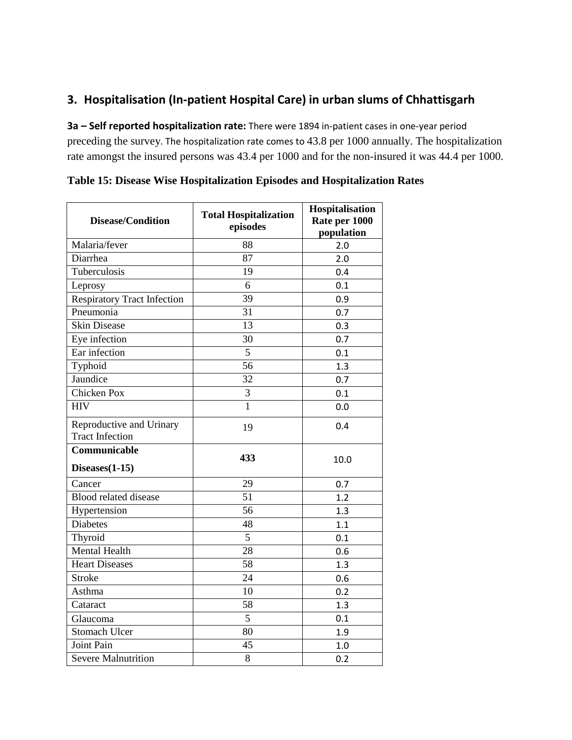# **3. Hospitalisation (In-patient Hospital Care) in urban slums of Chhattisgarh**

**3a – Self reported hospitalization rate:** There were 1894 in-patient cases in one-year period preceding the survey. The hospitalization rate comes to 43.8 per 1000 annually. The hospitalization rate amongst the insured persons was 43.4 per 1000 and for the non-insured it was 44.4 per 1000.

| <b>Disease/Condition</b>           | <b>Total Hospitalization</b> | Hospitalisation<br>Rate per 1000 |  |
|------------------------------------|------------------------------|----------------------------------|--|
|                                    | episodes                     | population                       |  |
| Malaria/fever                      | 88                           | 2.0                              |  |
| Diarrhea                           | 87                           | 2.0                              |  |
| Tuberculosis                       | 19                           | 0.4                              |  |
| Leprosy                            | 6                            | 0.1                              |  |
| <b>Respiratory Tract Infection</b> | 39                           | 0.9                              |  |
| Pneumonia                          | 31                           | 0.7                              |  |
| <b>Skin Disease</b>                | 13                           | 0.3                              |  |
| Eye infection                      | 30                           | 0.7                              |  |
| Ear infection                      | 5                            | 0.1                              |  |
| Typhoid                            | 56                           | 1.3                              |  |
| Jaundice                           | 32                           | 0.7                              |  |
| <b>Chicken Pox</b>                 | $\overline{3}$               | 0.1                              |  |
| <b>HIV</b>                         | $\overline{1}$               | 0.0                              |  |
| Reproductive and Urinary           | 19                           | 0.4                              |  |
| <b>Tract Infection</b>             |                              |                                  |  |
| Communicable                       | 433                          | 10.0                             |  |
| $Diseases(1-15)$                   |                              |                                  |  |
| Cancer                             | 29                           | 0.7                              |  |
| <b>Blood related disease</b>       | 51                           | 1.2                              |  |
| Hypertension                       | 56                           | 1.3                              |  |
| <b>Diabetes</b>                    | 48                           | 1.1                              |  |
| Thyroid                            | 5                            | 0.1                              |  |
| <b>Mental Health</b>               | 28                           | 0.6                              |  |
| <b>Heart Diseases</b>              | 58                           | 1.3                              |  |
| <b>Stroke</b>                      | 24                           | 0.6                              |  |
| Asthma                             | 10                           | 0.2                              |  |
| Cataract                           | 58                           | 1.3                              |  |
| Glaucoma                           | 5                            | 0.1                              |  |
| <b>Stomach Ulcer</b>               | 80                           | 1.9                              |  |
| Joint Pain                         | 45                           | 1.0                              |  |
| <b>Severe Malnutrition</b>         | 8                            | 0.2                              |  |

**Table 15: Disease Wise Hospitalization Episodes and Hospitalization Rates**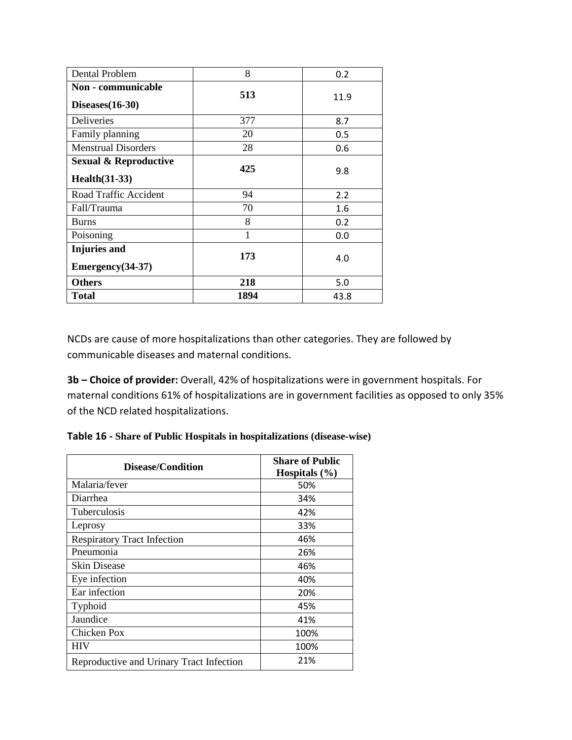| Dental Problem                                            | 8    | 0.2  |
|-----------------------------------------------------------|------|------|
| Non - communicable<br>$Diseases(16-30)$                   | 513  | 11.9 |
| Deliveries                                                | 377  | 8.7  |
| Family planning                                           | 20   | 0.5  |
| <b>Menstrual Disorders</b>                                | 28   | 0.6  |
| <b>Sexual &amp; Reproductive</b><br><b>Health</b> (31-33) | 425  | 9.8  |
| Road Traffic Accident                                     | 94   | 2.2  |
| Fall/Trauma                                               | 70   | 1.6  |
| <b>Burns</b>                                              | 8    | 0.2  |
| Poisoning                                                 |      | 0.0  |
| <b>Injuries</b> and<br>$Emergency(34-37)$                 | 173  | 4.0  |
| <b>Others</b>                                             | 218  | 5.0  |
| Total                                                     | 1894 | 43.8 |

NCDs are cause of more hospitalizations than other categories. They are followed by communicable diseases and maternal conditions.

**3b – Choice of provider:** Overall, 42% of hospitalizations were in government hospitals. For maternal conditions 61% of hospitalizations are in government facilities as opposed to only 35% of the NCD related hospitalizations.

**Table 16 - Share of Public Hospitals in hospitalizations (disease-wise)**

| Disease/Condition                        | <b>Share of Public</b><br>Hospitals $(\% )$ |
|------------------------------------------|---------------------------------------------|
| Malaria/fever                            | 50%                                         |
| Diarrhea                                 | 34%                                         |
| Tuberculosis                             | 42%                                         |
| Leprosy                                  | 33%                                         |
| <b>Respiratory Tract Infection</b>       | 46%                                         |
| Pneumonia                                | 26%                                         |
| <b>Skin Disease</b>                      | 46%                                         |
| Eye infection                            | 40%                                         |
| Ear infection                            | 20%                                         |
| Typhoid                                  | 45%                                         |
| Jaundice                                 | 41%                                         |
| Chicken Pox                              | 100%                                        |
| HIV                                      | 100%                                        |
| Reproductive and Urinary Tract Infection | 21%                                         |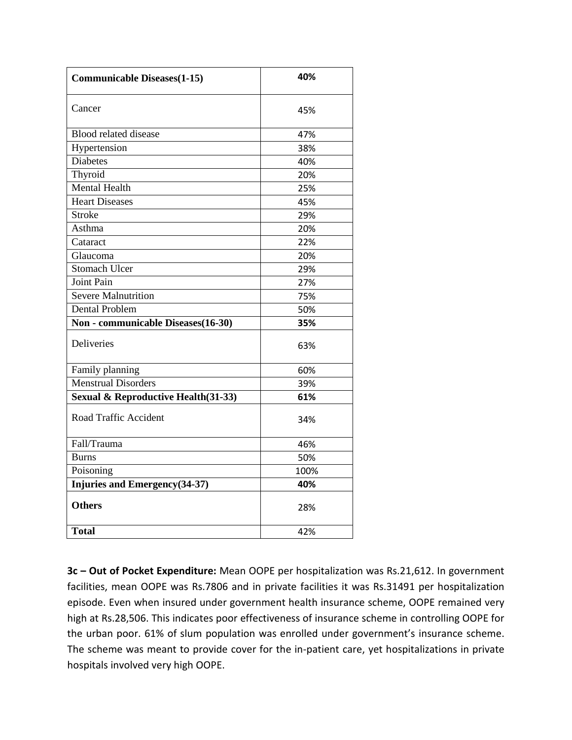| <b>Communicable Diseases(1-15)</b>  | 40%  |  |
|-------------------------------------|------|--|
| Cancer                              | 45%  |  |
| Blood related disease               | 47%  |  |
| Hypertension                        | 38%  |  |
| <b>Diabetes</b>                     | 40%  |  |
| Thyroid                             | 20%  |  |
| Mental Health                       | 25%  |  |
| <b>Heart Diseases</b>               | 45%  |  |
| <b>Stroke</b>                       | 29%  |  |
| Asthma                              | 20%  |  |
| Cataract                            | 22%  |  |
| Glaucoma                            | 20%  |  |
| <b>Stomach Ulcer</b>                | 29%  |  |
| <b>Joint Pain</b>                   | 27%  |  |
| <b>Severe Malnutrition</b>          | 75%  |  |
| <b>Dental Problem</b>               | 50%  |  |
| Non - communicable Diseases(16-30)  | 35%  |  |
| <b>Deliveries</b>                   | 63%  |  |
| Family planning                     | 60%  |  |
| <b>Menstrual Disorders</b>          | 39%  |  |
| Sexual & Reproductive Health(31-33) | 61%  |  |
| Road Traffic Accident               | 34%  |  |
| Fall/Trauma                         | 46%  |  |
| <b>Burns</b>                        | 50%  |  |
| Poisoning                           | 100% |  |
| Injuries and Emergency(34-37)       | 40%  |  |
| <b>Others</b>                       | 28%  |  |
| <b>Total</b>                        | 42%  |  |

**3c – Out of Pocket Expenditure:** Mean OOPE per hospitalization was Rs.21,612. In government facilities, mean OOPE was Rs.7806 and in private facilities it was Rs.31491 per hospitalization episode. Even when insured under government health insurance scheme, OOPE remained very high at Rs.28,506. This indicates poor effectiveness of insurance scheme in controlling OOPE for the urban poor. 61% of slum population was enrolled under government's insurance scheme. The scheme was meant to provide cover for the in-patient care, yet hospitalizations in private hospitals involved very high OOPE.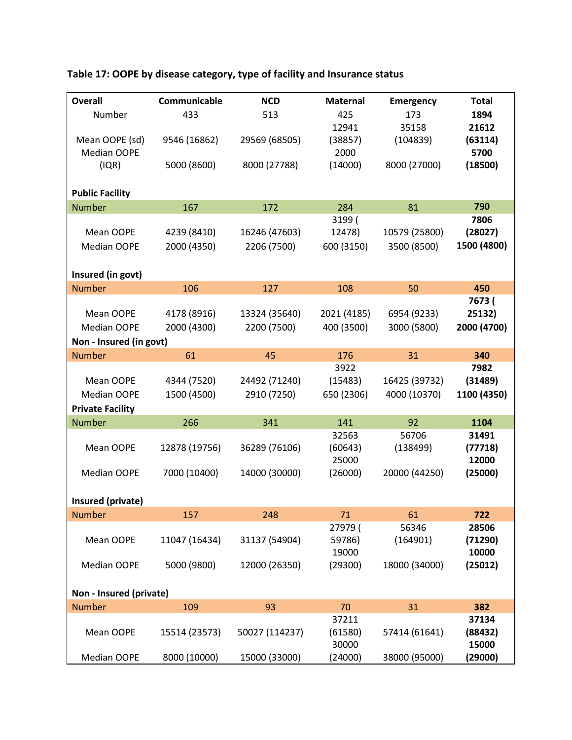| <b>Overall</b>          | Communicable  | <b>NCD</b>     | <b>Maternal</b> | <b>Emergency</b> | <b>Total</b> |
|-------------------------|---------------|----------------|-----------------|------------------|--------------|
|                         |               |                |                 |                  |              |
| Number                  | 433           | 513            | 425             | 173              | 1894         |
|                         |               |                | 12941           | 35158            | 21612        |
| Mean OOPE (sd)          | 9546 (16862)  | 29569 (68505)  | (38857)         | (104839)         | (63114)      |
| <b>Median OOPE</b>      |               |                | 2000            |                  | 5700         |
| (IQR)                   | 5000 (8600)   | 8000 (27788)   | (14000)         | 8000 (27000)     | (18500)      |
|                         |               |                |                 |                  |              |
| <b>Public Facility</b>  |               |                |                 |                  |              |
| <b>Number</b>           | 167           | 172            | 284             | 81               | 790          |
|                         |               |                | 3199 (          |                  | 7806         |
| Mean OOPE               | 4239 (8410)   | 16246 (47603)  | 12478)          | 10579 (25800)    | (28027)      |
| <b>Median OOPE</b>      | 2000 (4350)   | 2206 (7500)    | 600 (3150)      | 3500 (8500)      | 1500 (4800)  |
|                         |               |                |                 |                  |              |
| Insured (in govt)       |               |                |                 |                  |              |
| <b>Number</b>           | 106           | 127            | 108             | 50               | 450          |
|                         |               |                |                 |                  | 7673 (       |
| Mean OOPE               | 4178 (8916)   | 13324 (35640)  | 2021 (4185)     | 6954 (9233)      | 25132)       |
| Median OOPE             | 2000 (4300)   | 2200 (7500)    | 400 (3500)      | 3000 (5800)      | 2000 (4700)  |
| Non - Insured (in govt) |               |                |                 |                  |              |
| <b>Number</b>           | 61            | 45             | 176             | 31               | 340          |
|                         |               |                | 3922            |                  | 7982         |
| Mean OOPE               | 4344 (7520)   | 24492 (71240)  | (15483)         | 16425 (39732)    | (31489)      |
| Median OOPE             | 1500 (4500)   | 2910 (7250)    | 650 (2306)      | 4000 (10370)     | 1100 (4350)  |
|                         |               |                |                 |                  |              |
| <b>Private Facility</b> |               |                |                 |                  |              |
| <b>Number</b>           | 266           | 341            | 141             | 92               | 1104         |
|                         |               |                | 32563           | 56706            | 31491        |
| Mean OOPE               | 12878 (19756) | 36289 (76106)  | (60643)         | (138499)         | (77718)      |
|                         |               |                | 25000           |                  | 12000        |
| <b>Median OOPE</b>      | 7000 (10400)  | 14000 (30000)  | (26000)         | 20000 (44250)    | (25000)      |
|                         |               |                |                 |                  |              |
| Insured (private)       |               |                |                 |                  |              |
| <b>Number</b>           | 157           | 248            | 71              | 61               | 722          |
|                         |               |                | 27979 (         | 56346            | 28506        |
| Mean OOPE               | 11047 (16434) | 31137 (54904)  | 59786)          | (164901)         | (71290)      |
|                         |               |                | 19000           |                  | 10000        |
| Median OOPE             | 5000 (9800)   | 12000 (26350)  | (29300)         | 18000 (34000)    | (25012)      |
|                         |               |                |                 |                  |              |
| Non - Insured (private) |               |                |                 |                  |              |
| <b>Number</b>           | 109           | 93             | 70              | 31               | 382          |
|                         |               |                | 37211           |                  | 37134        |
| Mean OOPE               | 15514 (23573) | 50027 (114237) | (61580)         | 57414 (61641)    | (88432)      |
|                         |               |                | 30000           |                  | 15000        |
| Median OOPE             | 8000 (10000)  | 15000 (33000)  | (24000)         | 38000 (95000)    | (29000)      |

# **Table 17: OOPE by disease category, type of facility and Insurance status**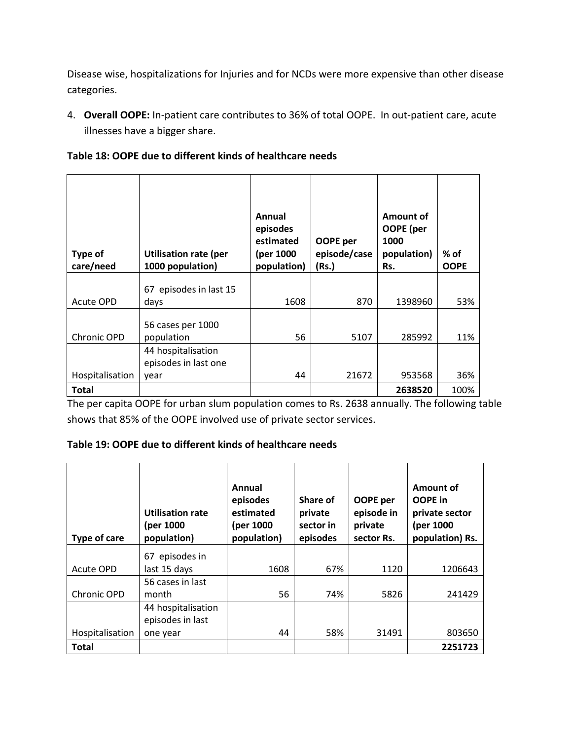Disease wise, hospitalizations for Injuries and for NCDs were more expensive than other disease categories.

4. **Overall OOPE:** In-patient care contributes to 36% of total OOPE. In out-patient care, acute illnesses have a bigger share.

|  | Table 18: OOPE due to different kinds of healthcare needs |
|--|-----------------------------------------------------------|
|--|-----------------------------------------------------------|

| Type of<br>care/need | <b>Utilisation rate (per</b><br>1000 population)   | Annual<br>episodes<br>estimated<br>(per 1000<br>population) | OOPE per<br>episode/case<br>(Rs.) | <b>Amount of</b><br>OOPE (per<br>1000<br>population)<br>Rs. | % of<br><b>OOPE</b> |
|----------------------|----------------------------------------------------|-------------------------------------------------------------|-----------------------------------|-------------------------------------------------------------|---------------------|
| Acute OPD            | 67 episodes in last 15<br>days                     | 1608                                                        | 870                               | 1398960                                                     | 53%                 |
| Chronic OPD          | 56 cases per 1000<br>population                    | 56                                                          | 5107                              | 285992                                                      | 11%                 |
| Hospitalisation      | 44 hospitalisation<br>episodes in last one<br>year | 44                                                          | 21672                             | 953568                                                      | 36%                 |
| <b>Total</b>         |                                                    |                                                             |                                   | 2638520                                                     | 100%                |

The per capita OOPE for urban slum population comes to Rs. 2638 annually. The following table shows that 85% of the OOPE involved use of private sector services.

## **Table 19: OOPE due to different kinds of healthcare needs**

| Type of care    | <b>Utilisation rate</b><br>(per 1000<br>population) | Annual<br>episodes<br>estimated<br>(per 1000<br>population) | Share of<br>private<br>sector in<br>episodes | OOPE per<br>episode in<br>private<br>sector Rs. | Amount of<br>OOPE in<br>private sector<br>(per 1000<br>population) Rs. |
|-----------------|-----------------------------------------------------|-------------------------------------------------------------|----------------------------------------------|-------------------------------------------------|------------------------------------------------------------------------|
|                 | 67 episodes in                                      |                                                             |                                              |                                                 |                                                                        |
| Acute OPD       | last 15 days                                        | 1608                                                        | 67%                                          | 1120                                            | 1206643                                                                |
| Chronic OPD     | 56 cases in last<br>month                           | 56                                                          | 74%                                          | 5826                                            | 241429                                                                 |
|                 | 44 hospitalisation<br>episodes in last              |                                                             |                                              |                                                 |                                                                        |
| Hospitalisation | one year                                            | 44                                                          | 58%                                          | 31491                                           | 803650                                                                 |
| <b>Total</b>    |                                                     |                                                             |                                              |                                                 | 2251723                                                                |